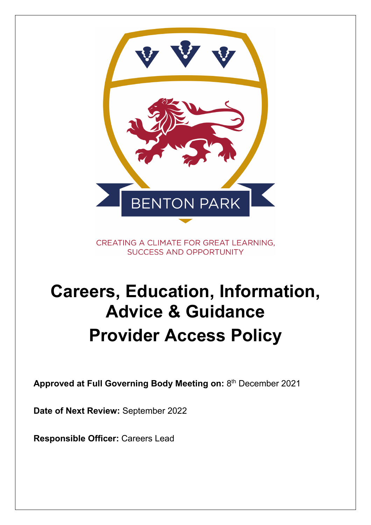

CREATING A CLIMATE FOR GREAT LEARNING. **SUCCESS AND OPPORTUNITY** 

# **Careers, Education, Information, Advice & Guidance Provider Access Policy**

**Approved at Full Governing Body Meeting on:** 8th December 2021

**Date of Next Review:** September 2022

**Responsible Officer:** Careers Lead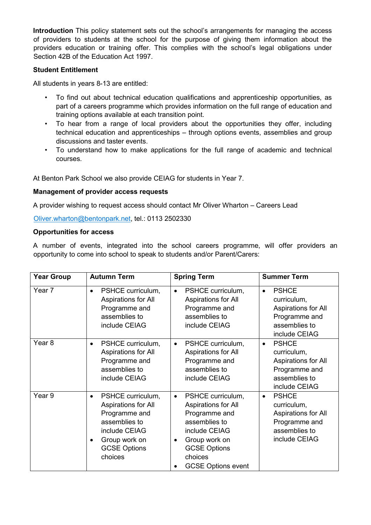**Introduction** This policy statement sets out the school's arrangements for managing the access of providers to students at the school for the purpose of giving them information about the providers education or training offer. This complies with the school's legal obligations under Section 42B of the Education Act 1997.

## **Student Entitlement**

All students in years 8-13 are entitled:

- To find out about technical education qualifications and apprenticeship opportunities, as part of a careers programme which provides information on the full range of education and training options available at each transition point.
- To hear from a range of local providers about the opportunities they offer, including technical education and apprenticeships – through options events, assemblies and group discussions and taster events.
- To understand how to make applications for the full range of academic and technical courses.

At Benton Park School we also provide CEIAG for students in Year 7.

## **Management of provider access requests**

A provider wishing to request access should contact Mr Oliver Wharton – Careers Lead

Oliver.wharton@bentonpark.net, tel.: 0113 2502330

## **Opportunities for access**

A number of events, integrated into the school careers programme, will offer providers an opportunity to come into school to speak to students and/or Parent/Carers:

| <b>Year Group</b> | <b>Autumn Term</b>                                                                                                                                          | <b>Spring Term</b>                                                                                                                                                                                    | <b>Summer Term</b>                                                                                                 |
|-------------------|-------------------------------------------------------------------------------------------------------------------------------------------------------------|-------------------------------------------------------------------------------------------------------------------------------------------------------------------------------------------------------|--------------------------------------------------------------------------------------------------------------------|
| Year 7            | PSHCE curriculum,<br>$\bullet$<br>Aspirations for All<br>Programme and<br>assemblies to<br>include CEIAG                                                    | PSHCE curriculum,<br>$\bullet$<br>Aspirations for All<br>Programme and<br>assemblies to<br>include CEIAG                                                                                              | <b>PSHCE</b><br>$\bullet$<br>curriculum,<br>Aspirations for All<br>Programme and<br>assemblies to<br>include CEIAG |
| Year <sub>8</sub> | PSHCE curriculum,<br>$\bullet$<br>Aspirations for All<br>Programme and<br>assemblies to<br>include CEIAG                                                    | PSHCE curriculum,<br>$\bullet$<br>Aspirations for All<br>Programme and<br>assemblies to<br>include CEIAG                                                                                              | <b>PSHCE</b><br>$\bullet$<br>curriculum,<br>Aspirations for All<br>Programme and<br>assemblies to<br>include CEIAG |
| Year 9            | PSHCE curriculum,<br>$\bullet$<br>Aspirations for All<br>Programme and<br>assemblies to<br>include CEIAG<br>Group work on<br><b>GCSE Options</b><br>choices | PSHCE curriculum,<br>$\bullet$<br>Aspirations for All<br>Programme and<br>assemblies to<br>include CEIAG<br>Group work on<br>$\bullet$<br><b>GCSE Options</b><br>choices<br><b>GCSE Options event</b> | <b>PSHCE</b><br>$\bullet$<br>curriculum,<br>Aspirations for All<br>Programme and<br>assemblies to<br>include CEIAG |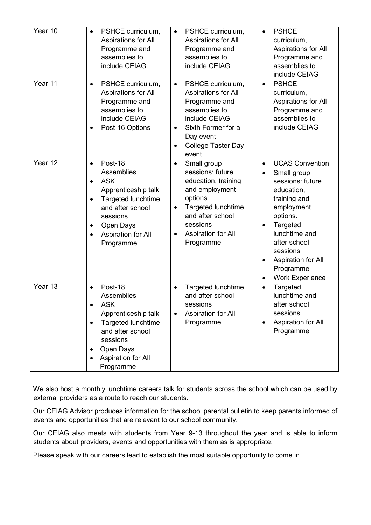| Year 10 | PSHCE curriculum,<br>$\bullet$<br>Aspirations for All<br>Programme and<br>assemblies to<br>include CEIAG                                                                                                                                 | PSHCE curriculum,<br>$\bullet$<br>Aspirations for All<br>Programme and<br>assemblies to<br>include CEIAG                                                                                                             | <b>PSHCE</b><br>$\bullet$<br>curriculum,<br>Aspirations for All<br>Programme and<br>assemblies to<br>include CEIAG                                                                                                                                                             |
|---------|------------------------------------------------------------------------------------------------------------------------------------------------------------------------------------------------------------------------------------------|----------------------------------------------------------------------------------------------------------------------------------------------------------------------------------------------------------------------|--------------------------------------------------------------------------------------------------------------------------------------------------------------------------------------------------------------------------------------------------------------------------------|
| Year 11 | PSHCE curriculum,<br>$\bullet$<br>Aspirations for All<br>Programme and<br>assemblies to<br>include CEIAG<br>Post-16 Options<br>$\bullet$                                                                                                 | PSHCE curriculum,<br>$\bullet$<br>Aspirations for All<br>Programme and<br>assemblies to<br>include CEIAG<br>Sixth Former for a<br>$\bullet$<br>Day event<br><b>College Taster Day</b><br>$\bullet$<br>event          | <b>PSHCE</b><br>$\bullet$<br>curriculum,<br>Aspirations for All<br>Programme and<br>assemblies to<br>include CEIAG                                                                                                                                                             |
| Year 12 | Post-18<br>$\bullet$<br>Assemblies<br><b>ASK</b><br>$\bullet$<br>Apprenticeship talk<br><b>Targeted lunchtime</b><br>$\bullet$<br>and after school<br>sessions<br>Open Days<br>$\bullet$<br>Aspiration for All<br>$\bullet$<br>Programme | Small group<br>$\bullet$<br>sessions: future<br>education, training<br>and employment<br>options.<br>Targeted lunchtime<br>$\bullet$<br>and after school<br>sessions<br>Aspiration for All<br>$\bullet$<br>Programme | <b>UCAS Convention</b><br>$\bullet$<br>Small group<br>sessions: future<br>education,<br>training and<br>employment<br>options.<br>Targeted<br>$\bullet$<br>lunchtime and<br>after school<br>sessions<br>Aspiration for All<br>Programme<br><b>Work Experience</b><br>$\bullet$ |
| Year 13 | Post-18<br>$\bullet$<br>Assemblies<br><b>ASK</b><br>Apprenticeship talk<br><b>Targeted lunchtime</b><br>$\bullet$<br>and after school<br>sessions<br>Open Days<br>٠<br>Aspiration for All<br>Programme                                   | Targeted lunchtime<br>$\bullet$<br>and after school<br>sessions<br>Aspiration for All<br>$\bullet$<br>Programme                                                                                                      | Targeted<br>$\bullet$<br>lunchtime and<br>after school<br>sessions<br>Aspiration for All<br>Programme                                                                                                                                                                          |

We also host a monthly lunchtime careers talk for students across the school which can be used by external providers as a route to reach our students.

Our CEIAG Advisor produces information for the school parental bulletin to keep parents informed of events and opportunities that are relevant to our school community.

Our CEIAG also meets with students from Year 9-13 throughout the year and is able to inform students about providers, events and opportunities with them as is appropriate.

Please speak with our careers lead to establish the most suitable opportunity to come in.